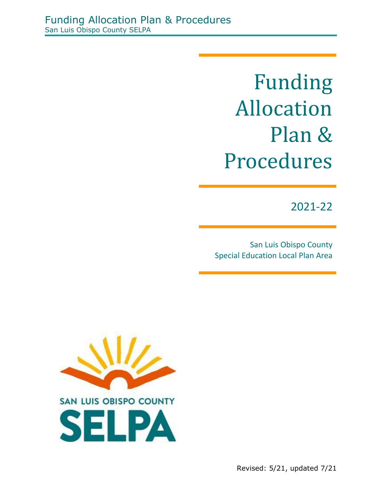Funding Allocation Plan & Procedures

2021-22

San Luis Obispo County Special Education Local Plan Area



Revised: 5/21, updated 7/21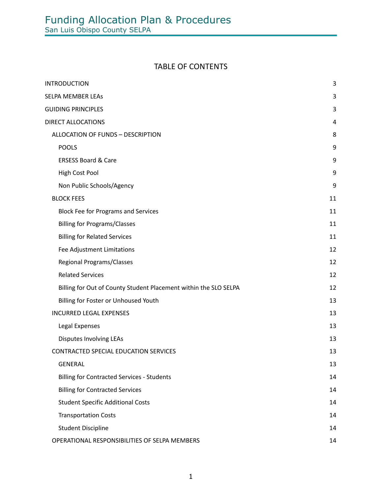## TABLE OF CONTENTS

| <b>INTRODUCTION</b>                                              | 3  |
|------------------------------------------------------------------|----|
| SELPA MEMBER LEAs                                                | 3  |
| <b>GUIDING PRINCIPLES</b>                                        | 3  |
| <b>DIRECT ALLOCATIONS</b>                                        | 4  |
| ALLOCATION OF FUNDS - DESCRIPTION                                | 8  |
| <b>POOLS</b>                                                     | 9  |
| <b>ERSESS Board &amp; Care</b>                                   | 9  |
| High Cost Pool                                                   | 9  |
| Non Public Schools/Agency                                        | 9  |
| <b>BLOCK FEES</b>                                                | 11 |
| <b>Block Fee for Programs and Services</b>                       | 11 |
| <b>Billing for Programs/Classes</b>                              | 11 |
| <b>Billing for Related Services</b>                              | 11 |
| Fee Adjustment Limitations                                       | 12 |
| <b>Regional Programs/Classes</b>                                 | 12 |
| <b>Related Services</b>                                          | 12 |
| Billing for Out of County Student Placement within the SLO SELPA | 12 |
| Billing for Foster or Unhoused Youth                             | 13 |
| <b>INCURRED LEGAL EXPENSES</b>                                   | 13 |
| Legal Expenses                                                   | 13 |
| Disputes Involving LEAs                                          | 13 |
| CONTRACTED SPECIAL EDUCATION SERVICES                            | 13 |
| <b>GENERAL</b>                                                   | 13 |
| <b>Billing for Contracted Services - Students</b>                | 14 |
| <b>Billing for Contracted Services</b>                           | 14 |
| <b>Student Specific Additional Costs</b>                         | 14 |
| <b>Transportation Costs</b>                                      | 14 |
| <b>Student Discipline</b>                                        | 14 |
| OPERATIONAL RESPONSIBILITIES OF SELPA MEMBERS                    | 14 |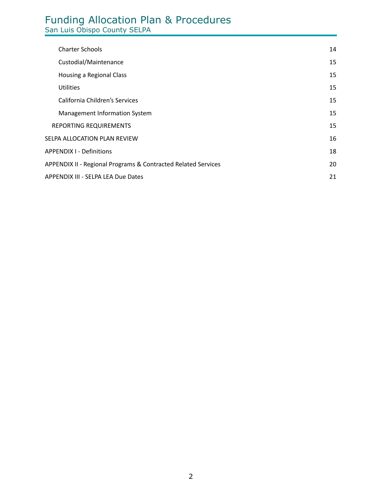|                                                                          | <b>Charter Schools</b>               | 14 |  |
|--------------------------------------------------------------------------|--------------------------------------|----|--|
|                                                                          | Custodial/Maintenance                | 15 |  |
|                                                                          | Housing a Regional Class             | 15 |  |
|                                                                          | <b>Utilities</b>                     | 15 |  |
|                                                                          | California Children's Services       | 15 |  |
|                                                                          | <b>Management Information System</b> | 15 |  |
|                                                                          | <b>REPORTING REQUIREMENTS</b>        | 15 |  |
|                                                                          | SELPA ALLOCATION PLAN REVIEW         | 16 |  |
|                                                                          | <b>APPENDIX I - Definitions</b>      | 18 |  |
| <b>APPENDIX II - Regional Programs &amp; Contracted Related Services</b> |                                      |    |  |
|                                                                          | APPENDIX III - SELPA LEA Due Dates   | 21 |  |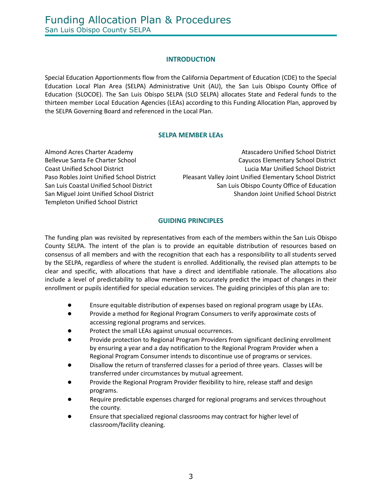### **INTRODUCTION**

<span id="page-3-0"></span>Special Education Apportionments flow from the California Department of Education (CDE) to the Special Education Local Plan Area (SELPA) Administrative Unit (AU), the San Luis Obispo County Office of Education (SLOCOE). The San Luis Obispo SELPA (SLO SELPA) allocates State and Federal funds to the thirteen member Local Education Agencies (LEAs) according to this Funding Allocation Plan, approved by the SELPA Governing Board and referenced in the Local Plan.

#### **SELPA MEMBER LEAs**

Templeton Unified School District

<span id="page-3-1"></span>Almond Acres Charter Academy **Atascadero Unified School District** Atascadero Unified School District Bellevue Santa Fe Charter School Cayucos Elementary School District Coast Unified School District Lucia Mar Unified School District Paso Robles Joint Unified School District Pleasant Valley Joint Unified Elementary School District San Luis Coastal Unified School District San Luis Obispo County Office of Education San Miguel Joint Unified School District Shandon Joint Unified School District

## **GUIDING PRINCIPLES**

<span id="page-3-2"></span>The funding plan was revisited by representatives from each of the members within the San Luis Obispo County SELPA. The intent of the plan is to provide an equitable distribution of resources based on consensus of all members and with the recognition that each has a responsibility to all students served by the SELPA, regardless of where the student is enrolled. Additionally, the revised plan attempts to be clear and specific, with allocations that have a direct and identifiable rationale. The allocations also include a level of predictability to allow members to accurately predict the impact of changes in their enrollment or pupils identified for special education services. The guiding principles of this plan are to:

- Ensure equitable distribution of expenses based on regional program usage by LEAs.
- Provide a method for Regional Program Consumers to verify approximate costs of accessing regional programs and services.
- Protect the small LEAs against unusual occurrences.
- Provide protection to Regional Program Providers from significant declining enrollment by ensuring a year and a day notification to the Regional Program Provider when a Regional Program Consumer intends to discontinue use of programs or services.
- Disallow the return of transferred classes for a period of three years. Classes will be transferred under circumstances by mutual agreement.
- Provide the Regional Program Provider flexibility to hire, release staff and design programs.
- Require predictable expenses charged for regional programs and services throughout the county.
- Ensure that specialized regional classrooms may contract for higher level of classroom/facility cleaning.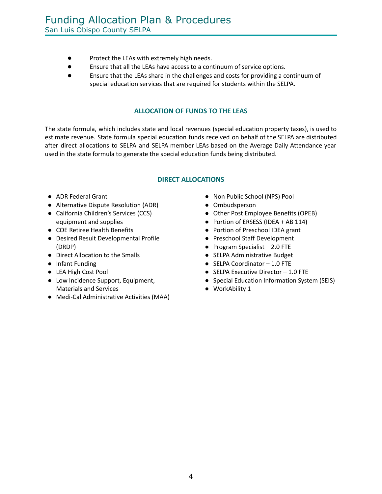- Protect the LEAs with extremely high needs.
- Ensure that all the LEAs have access to a continuum of service options.
- Ensure that the LEAs share in the challenges and costs for providing a continuum of special education services that are required for students within the SELPA.

## **ALLOCATION OF FUNDS TO THE LEAS**

The state formula, which includes state and local revenues (special education property taxes), is used to estimate revenue. State formula special education funds received on behalf of the SELPA are distributed after direct allocations to SELPA and SELPA member LEAs based on the Average Daily Attendance year used in the state formula to generate the special education funds being distributed.

## **DIRECT ALLOCATIONS**

- <span id="page-4-0"></span>● ADR Federal Grant
- Alternative Dispute Resolution (ADR)
- California Children's Services (CCS) equipment and supplies
- COE Retiree Health Benefits
- Desired Result Developmental Profile (DRDP)
- Direct Allocation to the Smalls
- Infant Funding
- LEA High Cost Pool
- Low Incidence Support, Equipment, Materials and Services
- Medi-Cal Administrative Activities (MAA)
- Non Public School (NPS) Pool
- Ombudsperson
- Other Post Employee Benefits (OPEB)
- Portion of ERSESS (IDEA + AB 114)
- Portion of Preschool IDEA grant
- Preschool Staff Development
- Program Specialist 2.0 FTE
- SELPA Administrative Budget
- $\bullet$  SELPA Coordinator  $-1.0$  FTE
- SELPA Executive Director 1.0 FTE
- Special Education Information System (SEIS)
- WorkAbility 1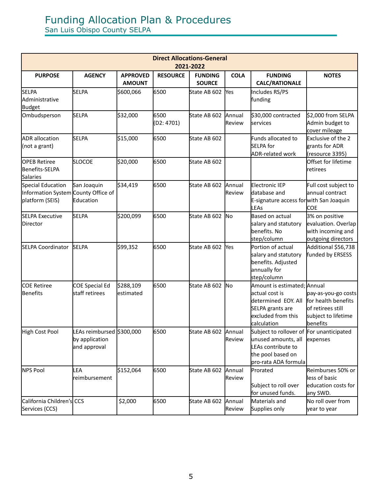| <b>Direct Allocations-General</b><br>2021-2022                              |                                                             |                                  |                    |                                 |                  |                                                                                                                                             |                                                                                                    |
|-----------------------------------------------------------------------------|-------------------------------------------------------------|----------------------------------|--------------------|---------------------------------|------------------|---------------------------------------------------------------------------------------------------------------------------------------------|----------------------------------------------------------------------------------------------------|
| <b>PURPOSE</b>                                                              | <b>AGENCY</b>                                               | <b>APPROVED</b><br><b>AMOUNT</b> | <b>RESOURCE</b>    | <b>FUNDING</b><br><b>SOURCE</b> | <b>COLA</b>      | <b>FUNDING</b><br><b>CALC/RATIONALE</b>                                                                                                     | <b>NOTES</b>                                                                                       |
| <b>SELPA</b><br>Administrative<br><b>Budget</b>                             | <b>SELPA</b>                                                | \$600,066                        | 6500               | State AB 602                    | <b>Yes</b>       | Includes RS/PS<br>funding                                                                                                                   |                                                                                                    |
| Ombudsperson                                                                | <b>SELPA</b>                                                | \$32,000                         | 6500<br>(D2: 4701) | State AB 602                    | Annual<br>Review | \$30,000 contracted<br>services                                                                                                             | \$2,000 from SELPA<br>Admin budget to<br>cover mileage                                             |
| <b>ADR</b> allocation<br>(not a grant)                                      | <b>SELPA</b>                                                | \$15,000                         | 6500               | State AB 602                    |                  | Funds allocated to<br><b>SELPA</b> for<br><b>ADR-related work</b>                                                                           | Exclusive of the 2<br>grants for ADR<br>(resource 3395)                                            |
| <b>OPEB Retiree</b><br>Benefits-SELPA<br>Salaries                           | <b>SLOCOE</b>                                               | \$20,000                         | 6500               | State AB 602                    |                  |                                                                                                                                             | Offset for lifetime<br>retirees                                                                    |
| Special Education<br>Information System County Office of<br>platform (SEIS) | San Joaquin<br>Education                                    | \$34,419                         | 6500               | State AB 602                    | Annual<br>Review | Electronic IEP<br>database and<br>E-signature access forwith San Joaquin<br>LEAs                                                            | Full cost subject to<br>annual contract<br><b>COE</b>                                              |
| <b>SELPA Executive</b><br>Director                                          | <b>SELPA</b>                                                | \$200,099                        | 6500               | State AB 602                    | <b>No</b>        | <b>Based on actual</b><br>salary and statutory<br>benefits. No<br>step/column                                                               | 3% on positive<br>evaluation. Overlap<br>with incoming and<br>outgoing directors                   |
| SELPA Coordinator                                                           | <b>SELPA</b>                                                | \$99,352                         | 6500               | State AB 602                    | Yes              | Portion of actual<br>salary and statutory<br>benefits. Adjusted<br>annually for<br>step/column                                              | Additional \$56,738<br>funded by ERSESS                                                            |
| COE Retiree<br>Benefits                                                     | <b>COE Special Ed</b><br>staff retirees                     | \$288,109<br>estimated           | 6500               | State AB 602                    | No               | Amount is estimated; Annual<br>actual cost is<br>determined EOY. All<br>SELPA grants are<br>excluded from this<br>calculation               | pay-as-you-go costs<br>for health benefits<br>of retirees still<br>subject to lifetime<br>benefits |
| High Cost Pool                                                              | LEAs reimbursed \$300,000<br>by application<br>and approval |                                  | 6500               | State AB 602 Annual             | Review           | Subject to rollover of For unanticipated<br>unused amounts, all expenses<br>LEAs contribute to<br>the pool based on<br>pro-rata ADA formula |                                                                                                    |
| NPS Pool                                                                    | LEA<br>reimbursement                                        | \$152,064                        | 6500               | State AB 602                    | Annual<br>Review | Prorated<br>Subject to roll over<br>for unused funds.                                                                                       | Reimburses 50% or<br>less of basic<br>education costs for<br>any SWD.                              |
| California Children's CCS<br>Services (CCS)                                 |                                                             | \$2,000                          | 6500               | State AB 602                    | Annual<br>Review | Materials and<br>Supplies only                                                                                                              | No roll over from<br>year to year                                                                  |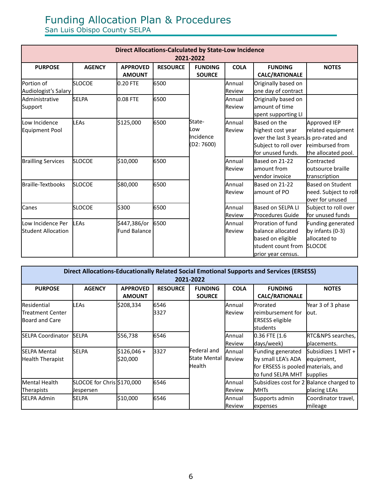| <b>Direct Allocations-Calculated by State-Low Incidence</b><br>2021-2022 |               |                                     |                 |                                          |                  |                                                                                                                           |                                                                             |
|--------------------------------------------------------------------------|---------------|-------------------------------------|-----------------|------------------------------------------|------------------|---------------------------------------------------------------------------------------------------------------------------|-----------------------------------------------------------------------------|
| <b>PURPOSE</b>                                                           | <b>AGENCY</b> | <b>APPROVED</b><br><b>AMOUNT</b>    | <b>RESOURCE</b> | <b>FUNDING</b><br><b>SOURCE</b>          | <b>COLA</b>      | <b>FUNDING</b><br><b>CALC/RATIONALE</b>                                                                                   | <b>NOTES</b>                                                                |
| lPortion of<br>Audiologist's Salary                                      | <b>SLOCOE</b> | 0.20 FTE                            | 6500            |                                          | Annual<br>Review | Originally based on<br>one day of contract                                                                                |                                                                             |
| lAdministrative<br>Support                                               | <b>SELPA</b>  | 0.08 FTE                            | 6500            |                                          | Annual<br>Review | Originally based on<br>lamount of time<br>spent supporting LI                                                             |                                                                             |
| Low Incidence<br>Equipment Pool                                          | LEAs          | \$125,000                           | 6500            | State-<br>Low<br>Incidence<br>(D2: 7600) | Annual<br>Review | Based on the<br>highest cost year<br>over the last 3 years is pro-rated and<br>Subject to roll over<br>lfor unused funds. | Approved IEP<br>related equipment<br>reimbursed from<br>the allocated pool. |
| <b>Brailling Services</b>                                                | <b>SLOCOE</b> | \$10,000                            | 6500            |                                          | Annual<br>Review | Based on 21-22<br>lamount from<br>vendor invoice                                                                          | Contracted<br>loutsource braille<br>transcription                           |
| Braille-Textbooks                                                        | <b>SLOCOE</b> | \$80,000                            | 6500            |                                          | Annual<br>Review | Based on 21-22<br>lamount of PO                                                                                           | <b>Based on Student</b><br>need. Subject to roll<br>lover for unused        |
| Canes                                                                    | <b>SLOCOE</b> | \$300                               | 6500            |                                          | Annual<br>Review | <b>l</b> Based on SELPA LI<br>Procedures Guide                                                                            | Subject to roll over<br>for unused funds                                    |
| Low Incidence Per<br>Student Allocation                                  | LEAs          | \$447,386/or<br><b>Fund Balance</b> | 6500            |                                          | Annual<br>Review | lProration of fund<br>Ibalance allocated<br>based on eligible<br>student count from<br>prior year census.                 | Funding generated<br>by infants (0-3)<br>allocated to<br><b>SLOCOE</b>      |

| Direct Allocations-Educationally Related Social Emotional Supports and Services (ERSESS)<br>2021-2022 |                                         |                                  |                 |                                                     |                         |                                                                                                      |                                                |
|-------------------------------------------------------------------------------------------------------|-----------------------------------------|----------------------------------|-----------------|-----------------------------------------------------|-------------------------|------------------------------------------------------------------------------------------------------|------------------------------------------------|
| <b>PURPOSE</b>                                                                                        | <b>AGENCY</b>                           | <b>APPROVED</b><br><b>AMOUNT</b> | <b>RESOURCE</b> | <b>FUNDING</b><br><b>SOURCE</b>                     | <b>COLA</b>             | <b>FUNDING</b><br><b>CALC/RATIONALE</b>                                                              | <b>NOTES</b>                                   |
| <b>Residential</b><br>lTreatment Center<br>Board and Care                                             | LEAs                                    | \$208,334                        | 6546<br>3327    |                                                     | lAnnual<br>Review       | <b>IProrated</b><br>Ireimbursement for<br><b>ERSESS</b> eligible<br>lstudents                        | Year 3 of 3 phase<br>lout.                     |
| <b>ISELPA Coordinator</b>                                                                             | <b>SELPA</b>                            | \$56,738                         | 6546            |                                                     | Annual<br>Review        | $0.36$ FTE $(1.6)$<br>days/week)                                                                     | RTC&NPS searches,<br>placements.               |
| <b>SELPA Mental</b><br><b>Health Therapist</b>                                                        | <b>SELPA</b>                            | l\$126,046 +<br>\$20,000         | 3327            | Federal and<br><b>State Mental</b><br><b>Health</b> | Annual<br>Review        | Funding generated<br>by small LEA's ADA<br>for ERSESS is pooled materials, and<br>lto fund SELPA MHT | Subsidizes $1$ MHT +<br>equipment,<br>supplies |
| Mental Health<br>Therapists                                                                           | SLOCOE for Chris \$170,000<br>Jespersen |                                  | 6546            |                                                     | Annual<br><b>Review</b> | Subsidizes cost for 2 Balance charged to<br><b>IMHTs</b>                                             | placing LEAs                                   |
| <b>ISELPA Admin</b>                                                                                   | <b>SELPA</b>                            | \$10,000                         | 6546            |                                                     | lAnnual<br>Review       | Supports admin<br>expenses                                                                           | Coordinator travel,<br>mileage                 |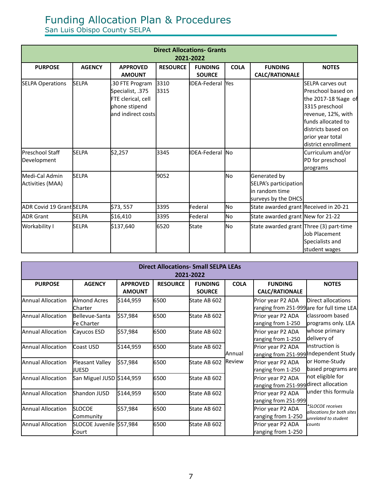| <b>Direct Allocations- Grants</b><br>2021-2022 |               |                                                                                                  |                 |                                 |             |                                                                                 |                                                                                                                                                                                                |
|------------------------------------------------|---------------|--------------------------------------------------------------------------------------------------|-----------------|---------------------------------|-------------|---------------------------------------------------------------------------------|------------------------------------------------------------------------------------------------------------------------------------------------------------------------------------------------|
| <b>PURPOSE</b>                                 | <b>AGENCY</b> | <b>APPROVED</b><br><b>AMOUNT</b>                                                                 | <b>RESOURCE</b> | <b>FUNDING</b><br><b>SOURCE</b> | <b>COLA</b> | <b>FUNDING</b><br><b>CALC/RATIONALE</b>                                         | <b>NOTES</b>                                                                                                                                                                                   |
| <b>SELPA Operations</b>                        | <b>SELPA</b>  | .30 FTE Program<br>Specialist, .375<br>FTE clerical, cell<br>phone stipend<br>and indirect costs | 3310<br>3315    | <b>IDEA-Federal</b>             | <b>Yes</b>  |                                                                                 | SELPA carves out<br>Preschool based on<br>the 2017-18 %age of<br>3315 preschool<br>revenue, 12%, with<br>lfunds allocated to<br>ldistricts based on<br>prior year total<br>district enrollment |
| Preschool Staff<br>Development                 | <b>SELPA</b>  | \$2,257                                                                                          | 3345            | <b>IDEA-Federal</b>             | <b>INO</b>  |                                                                                 | Curriculum and/or<br>PD for preschool<br>programs                                                                                                                                              |
| Medi-Cal Admin<br>Activities (MAA)             | <b>SELPA</b>  |                                                                                                  | 9052            |                                 | No          | Generated by<br>SELPA's participation<br>lin random time<br>surveys by the DHCS |                                                                                                                                                                                                |
| ADR Covid 19 Grant SELPA                       |               | \$73, 557                                                                                        | 3395            | Federal                         | lNo.        | State awarded grant Received in 20-21                                           |                                                                                                                                                                                                |
| <b>ADR</b> Grant                               | <b>SELPA</b>  | \$16,410                                                                                         | 3395            | Federal                         | No          | State awarded grant New for 21-22                                               |                                                                                                                                                                                                |
| Workability I                                  | <b>SELPA</b>  | \$137,640                                                                                        | 6520            | State                           | No          | State awarded grant Three (3) part-time                                         | <b>Job Placement</b><br>Specialists and<br>student wages                                                                                                                                       |

| <b>Direct Allocations- Small SELPA LEAs</b><br>2021-2022 |                                  |                                  |                 |                                 |             |                                                                 |                                                                        |
|----------------------------------------------------------|----------------------------------|----------------------------------|-----------------|---------------------------------|-------------|-----------------------------------------------------------------|------------------------------------------------------------------------|
| <b>PURPOSE</b>                                           | <b>AGENCY</b>                    | <b>APPROVED</b><br><b>AMOUNT</b> | <b>RESOURCE</b> | <b>FUNDING</b><br><b>SOURCE</b> | <b>COLA</b> | <b>FUNDING</b><br><b>CALC/RATIONALE</b>                         | <b>NOTES</b>                                                           |
| Annual Allocation                                        | Almond Acres<br><b>l</b> Charter | \$144,959                        | 6500            | State AB 602                    |             | Prior year P2 ADA<br>ranging from 251-999 are for full time LEA | Direct allocations                                                     |
| Annual Allocation                                        | Bellevue-Santa<br>Fe Charter     | \$57,984                         | 6500            | State AB 602                    |             | Prior year P2 ADA<br>ranging from 1-250                         | classroom based<br>programs only. LEA                                  |
| Annual Allocation                                        | Cayucos ESD                      | \$57,984                         | 6500            | State AB 602                    |             | Prior year P2 ADA<br>ranging from 1-250                         | whose primary<br>delivery of                                           |
| Annual Allocation                                        | Coast USD                        | \$144,959                        | 6500            | State AB 602                    | Annual      | Prior year P2 ADA<br>ranging from 251-999 Independent Study     | linstruction is                                                        |
| Annual Allocation                                        | Pleasant Valley<br>JUESD         | \$57,984                         | 6500            | State AB 602                    | Review      | Prior year P2 ADA<br>ranging from 1-250                         | or Home-Study<br>based programs are                                    |
| Annual Allocation                                        | San Miguel JUSD \$144,959        |                                  | 6500            | State AB 602                    |             | Prior year P2 ADA<br>ranging from 251-999 direct allocation     | not eligible for                                                       |
| <b>Annual Allocation</b>                                 | Shandon JUSD                     | \$144,959                        | 6500            | State AB 602                    |             | Prior year P2 ADA<br>ranging from 251-999                       | under this formula                                                     |
| Annual Allocation                                        | <b>SLOCOE</b><br>Community       | \$57,984                         | 6500            | State AB 602                    |             | Prior year P2 ADA<br>ranging from 1-250                         | *SLOCOE receives<br>allocations for both sites<br>unrelated to student |
| <b>Annual Allocation</b>                                 | SLOCOE Juvenile S57,984<br>Court |                                  | 6500            | State AB 602                    |             | Prior year P2 ADA<br>ranging from 1-250                         | counts                                                                 |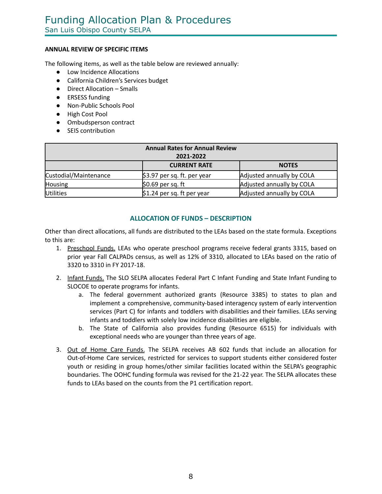#### **ANNUAL REVIEW OF SPECIFIC ITEMS**

The following items, as well as the table below are reviewed annually:

- Low Incidence Allocations
- California Children's Services budget
- Direct Allocation Smalls
- ERSESS funding
- Non-Public Schools Pool
- High Cost Pool
- Ombudsperson contract
- SEIS contribution

| <b>Annual Rates for Annual Review</b> |                             |                           |  |  |  |
|---------------------------------------|-----------------------------|---------------------------|--|--|--|
| 2021-2022                             |                             |                           |  |  |  |
|                                       | <b>CURRENT RATE</b>         | <b>NOTES</b>              |  |  |  |
| Custodial/Maintenance                 | \$3.97 per sq. ft. per year | Adjusted annually by COLA |  |  |  |
| <b>Housing</b>                        | $\beta$ 0.69 per sq. ft     | Adjusted annually by COLA |  |  |  |
| <b>Utilities</b>                      | $$1.24$ per sq. ft per year | Adjusted annually by COLA |  |  |  |

### **ALLOCATION OF FUNDS – DESCRIPTION**

<span id="page-8-0"></span>Other than direct allocations, all funds are distributed to the LEAs based on the state formula. Exceptions to this are:

- 1. Preschool Funds. LEAs who operate preschool programs receive federal grants 3315, based on prior year Fall CALPADs census, as well as 12% of 3310, allocated to LEAs based on the ratio of 3320 to 3310 in FY 2017-18.
- 2. Infant Funds. The SLO SELPA allocates Federal Part C Infant Funding and State Infant Funding to SLOCOE to operate programs for infants.
	- a. The federal government authorized grants (Resource 3385) to states to plan and implement a comprehensive, community-based interagency system of early intervention services (Part C) for infants and toddlers with disabilities and their families. LEAs serving infants and toddlers with solely low incidence disabilities are eligible.
	- b. The State of California also provides funding (Resource 6515) for individuals with exceptional needs who are younger than three years of age.
- 3. Out of Home Care Funds. The SELPA receives AB 602 funds that include an allocation for Out-of-Home Care services, restricted for services to support students either considered foster youth or residing in group homes/other similar facilities located within the SELPA's geographic boundaries. The OOHC funding formula was revised for the 21-22 year. The SELPA allocates these funds to LEAs based on the counts from the P1 certification report.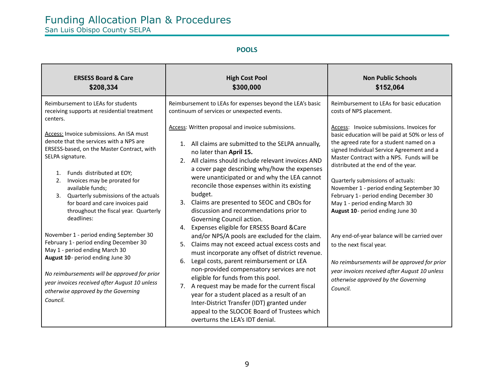# Funding Allocation Plan & Procedures

San Luis Obispo County SELPA

## <span id="page-9-3"></span><span id="page-9-2"></span>**POOLS**

<span id="page-9-1"></span><span id="page-9-0"></span>

| <b>ERSESS Board &amp; Care</b>                                                                                                                                                                                                                                                                                                                                                                                                                                                                                                                                                                                                                                                                                                                                                                             | <b>High Cost Pool</b>                                                                                                                                                                                                                                                                                                                                                                                                                                                                                                                                                                                                                                                                                                                                                                                                                                                                                                                                                                                                                                                                                                                                                          | <b>Non Public Schools</b>                                                                                                                                                                                                                                                                                                                                                                                                                                                                                                                                                                                                                                                                                                                                                       |
|------------------------------------------------------------------------------------------------------------------------------------------------------------------------------------------------------------------------------------------------------------------------------------------------------------------------------------------------------------------------------------------------------------------------------------------------------------------------------------------------------------------------------------------------------------------------------------------------------------------------------------------------------------------------------------------------------------------------------------------------------------------------------------------------------------|--------------------------------------------------------------------------------------------------------------------------------------------------------------------------------------------------------------------------------------------------------------------------------------------------------------------------------------------------------------------------------------------------------------------------------------------------------------------------------------------------------------------------------------------------------------------------------------------------------------------------------------------------------------------------------------------------------------------------------------------------------------------------------------------------------------------------------------------------------------------------------------------------------------------------------------------------------------------------------------------------------------------------------------------------------------------------------------------------------------------------------------------------------------------------------|---------------------------------------------------------------------------------------------------------------------------------------------------------------------------------------------------------------------------------------------------------------------------------------------------------------------------------------------------------------------------------------------------------------------------------------------------------------------------------------------------------------------------------------------------------------------------------------------------------------------------------------------------------------------------------------------------------------------------------------------------------------------------------|
| \$208,334                                                                                                                                                                                                                                                                                                                                                                                                                                                                                                                                                                                                                                                                                                                                                                                                  | \$300,000                                                                                                                                                                                                                                                                                                                                                                                                                                                                                                                                                                                                                                                                                                                                                                                                                                                                                                                                                                                                                                                                                                                                                                      | \$152,064                                                                                                                                                                                                                                                                                                                                                                                                                                                                                                                                                                                                                                                                                                                                                                       |
| Reimbursement to LEAs for students<br>receiving supports at residential treatment<br>centers.<br>Access: Invoice submissions. An ISA must<br>denote that the services with a NPS are<br>ERSESS-based, on the Master Contract, with<br>SELPA signature.<br>Funds distributed at EOY;<br>1.<br>Invoices may be prorated for<br>2.<br>available funds;<br>Quarterly submissions of the actuals<br>3.<br>for board and care invoices paid<br>throughout the fiscal year. Quarterly<br>deadlines:<br>November 1 - period ending September 30<br>February 1- period ending December 30<br>May 1 - period ending March 30<br>August 10- period ending June 30<br>No reimbursements will be approved for prior<br>year invoices received after August 10 unless<br>otherwise approved by the Governing<br>Council. | Reimbursement to LEAs for expenses beyond the LEA's basic<br>continuum of services or unexpected events.<br>Access: Written proposal and invoice submissions.<br>1. All claims are submitted to the SELPA annually,<br>no later than April 15.<br>2. All claims should include relevant invoices AND<br>a cover page describing why/how the expenses<br>were unanticipated or and why the LEA cannot<br>reconcile those expenses within its existing<br>budget.<br>3. Claims are presented to SEOC and CBOs for<br>discussion and recommendations prior to<br>Governing Council action.<br>4. Expenses eligible for ERSESS Board & Care<br>and/or NPS/A pools are excluded for the claim.<br>Claims may not exceed actual excess costs and<br>5.<br>must incorporate any offset of district revenue.<br>6.<br>Legal costs, parent reimbursement or LEA<br>non-provided compensatory services are not<br>eligible for funds from this pool.<br>7. A request may be made for the current fiscal<br>year for a student placed as a result of an<br>Inter-District Transfer (IDT) granted under<br>appeal to the SLOCOE Board of Trustees which<br>overturns the LEA's IDT denial. | Reimbursement to LEAs for basic education<br>costs of NPS placement.<br>Access: Invoice submissions, Invoices for<br>basic education will be paid at 50% or less of<br>the agreed rate for a student named on a<br>signed Individual Service Agreement and a<br>Master Contract with a NPS. Funds will be<br>distributed at the end of the year.<br>Quarterly submissions of actuals:<br>November 1 - period ending September 30<br>February 1- period ending December 30<br>May 1 - period ending March 30<br>August 10- period ending June 30<br>Any end-of-year balance will be carried over<br>to the next fiscal year.<br>No reimbursements will be approved for prior<br>year invoices received after August 10 unless<br>otherwise approved by the Governing<br>Council. |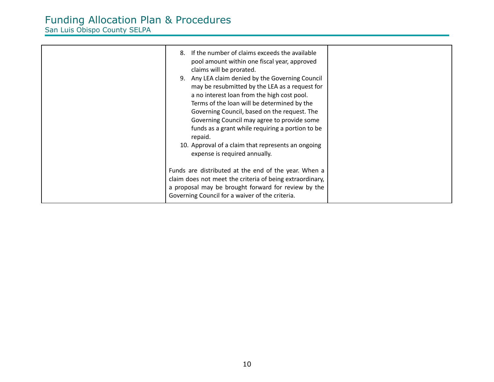# Funding Allocation Plan & Procedures

San Luis Obispo County SELPA

| If the number of claims exceeds the available<br>8.<br>pool amount within one fiscal year, approved<br>claims will be prorated.<br>9. Any LEA claim denied by the Governing Council<br>may be resubmitted by the LEA as a request for<br>a no interest loan from the high cost pool.<br>Terms of the loan will be determined by the<br>Governing Council, based on the request. The<br>Governing Council may agree to provide some<br>funds as a grant while requiring a portion to be<br>repaid.<br>10. Approval of a claim that represents an ongoing<br>expense is required annually. |  |
|------------------------------------------------------------------------------------------------------------------------------------------------------------------------------------------------------------------------------------------------------------------------------------------------------------------------------------------------------------------------------------------------------------------------------------------------------------------------------------------------------------------------------------------------------------------------------------------|--|
| Funds are distributed at the end of the year. When a<br>claim does not meet the criteria of being extraordinary,<br>a proposal may be brought forward for review by the<br>Governing Council for a waiver of the criteria.                                                                                                                                                                                                                                                                                                                                                               |  |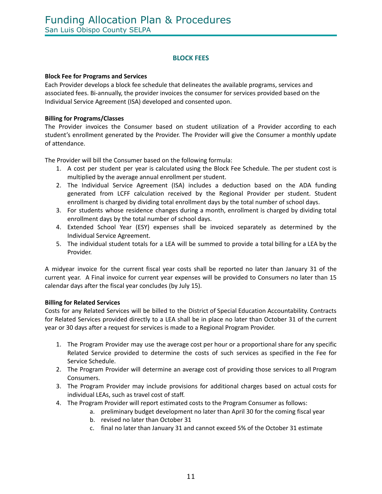## **BLOCK FEES**

#### <span id="page-11-1"></span><span id="page-11-0"></span>**Block Fee for Programs and Services**

Each Provider develops a block fee schedule that delineates the available programs, services and associated fees. Bi-annually, the provider invoices the consumer for services provided based on the Individual Service Agreement (ISA) developed and consented upon.

#### <span id="page-11-2"></span>**Billing for Programs/Classes**

The Provider invoices the Consumer based on student utilization of a Provider according to each student's enrollment generated by the Provider. The Provider will give the Consumer a monthly update of attendance.

The Provider will bill the Consumer based on the following formula:

- 1. A cost per student per year is calculated using the Block Fee Schedule. The per student cost is multiplied by the average annual enrollment per student.
- 2. The Individual Service Agreement (ISA) includes a deduction based on the ADA funding generated from LCFF calculation received by the Regional Provider per student. Student enrollment is charged by dividing total enrollment days by the total number of school days.
- 3. For students whose residence changes during a month, enrollment is charged by dividing total enrollment days by the total number of school days.
- 4. Extended School Year (ESY) expenses shall be invoiced separately as determined by the Individual Service Agreement.
- 5. The individual student totals for a LEA will be summed to provide a total billing for a LEA by the Provider.

A midyear invoice for the current fiscal year costs shall be reported no later than January 31 of the current year. A Final invoice for current year expenses will be provided to Consumers no later than 15 calendar days after the fiscal year concludes (by July 15).

#### <span id="page-11-3"></span>**Billing for Related Services**

Costs for any Related Services will be billed to the District of Special Education Accountability. Contracts for Related Services provided directly to a LEA shall be in place no later than October 31 of the current year or 30 days after a request for services is made to a Regional Program Provider.

- 1. The Program Provider may use the average cost per hour or a proportional share for any specific Related Service provided to determine the costs of such services as specified in the Fee for Service Schedule.
- 2. The Program Provider will determine an average cost of providing those services to all Program Consumers.
- 3. The Program Provider may include provisions for additional charges based on actual costs for individual LEAs, such as travel cost of staff.
- 4. The Program Provider will report estimated costs to the Program Consumer as follows:
	- a. preliminary budget development no later than April 30 for the coming fiscal year
	- b. revised no later than October 31
	- c. final no later than January 31 and cannot exceed 5% of the October 31 estimate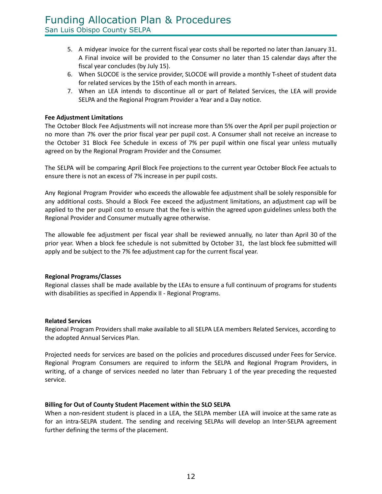- 5. A midyear invoice for the current fiscal year costs shall be reported no later than January 31. A Final invoice will be provided to the Consumer no later than 15 calendar days after the fiscal year concludes (by July 15).
- 6. When SLOCOE is the service provider, SLOCOE will provide a monthly T-sheet of student data for related services by the 15th of each month in arrears.
- 7. When an LEA intends to discontinue all or part of Related Services, the LEA will provide SELPA and the Regional Program Provider a Year and a Day notice.

#### <span id="page-12-0"></span>**Fee Adjustment Limitations**

The October Block Fee Adjustments will not increase more than 5% over the April per pupil projection or no more than 7% over the prior fiscal year per pupil cost. A Consumer shall not receive an increase to the October 31 Block Fee Schedule in excess of 7% per pupil within one fiscal year unless mutually agreed on by the Regional Program Provider and the Consumer.

The SELPA will be comparing April Block Fee projections to the current year October Block Fee actuals to ensure there is not an excess of 7% increase in per pupil costs.

Any Regional Program Provider who exceeds the allowable fee adjustment shall be solely responsible for any additional costs. Should a Block Fee exceed the adjustment limitations, an adjustment cap will be applied to the per pupil cost to ensure that the fee is within the agreed upon guidelines unless both the Regional Provider and Consumer mutually agree otherwise.

The allowable fee adjustment per fiscal year shall be reviewed annually, no later than April 30 of the prior year. When a block fee schedule is not submitted by October 31, the last block fee submitted will apply and be subject to the 7% fee adjustment cap for the current fiscal year.

#### <span id="page-12-1"></span>**Regional Programs/Classes**

Regional classes shall be made available by the LEAs to ensure a full continuum of programs for students with disabilities as specified in Appendix II - Regional Programs.

#### <span id="page-12-2"></span>**Related Services**

Regional Program Providers shall make available to all SELPA LEA members Related Services, according to the adopted Annual Services Plan.

Projected needs for services are based on the policies and procedures discussed under Fees for Service. Regional Program Consumers are required to inform the SELPA and Regional Program Providers, in writing, of a change of services needed no later than February 1 of the year preceding the requested service.

#### <span id="page-12-3"></span>**Billing for Out of County Student Placement within the SLO SELPA**

When a non-resident student is placed in a LEA, the SELPA member LEA will invoice at the same rate as for an intra-SELPA student. The sending and receiving SELPAs will develop an Inter-SELPA agreement further defining the terms of the placement.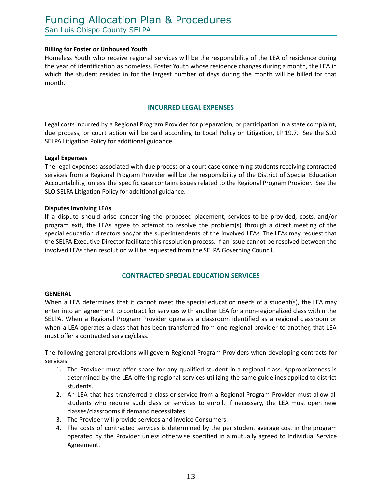#### <span id="page-13-0"></span>**Billing for Foster or Unhoused Youth**

Homeless Youth who receive regional services will be the responsibility of the LEA of residence during the year of identification as homeless. Foster Youth whose residence changes during a month, the LEA in which the student resided in for the largest number of days during the month will be billed for that month.

## **INCURRED LEGAL EXPENSES**

<span id="page-13-1"></span>Legal costs incurred by a Regional Program Provider for preparation, or participation in a state complaint, due process, or court action will be paid according to Local Policy on Litigation, LP 19.7. See the SLO SELPA Litigation Policy for additional guidance.

#### <span id="page-13-2"></span>**Legal Expenses**

The legal expenses associated with due process or a court case concerning students receiving contracted services from a Regional Program Provider will be the responsibility of the District of Special Education Accountability, unless the specific case contains issues related to the Regional Program Provider. See the SLO SELPA Litigation Policy for additional guidance.

#### <span id="page-13-3"></span>**Disputes Involving LEAs**

If a dispute should arise concerning the proposed placement, services to be provided, costs, and/or program exit, the LEAs agree to attempt to resolve the problem(s) through a direct meeting of the special education directors and/or the superintendents of the involved LEAs. The LEAs may request that the SELPA Executive Director facilitate this resolution process. If an issue cannot be resolved between the involved LEAs then resolution will be requested from the SELPA Governing Council.

## **CONTRACTED SPECIAL EDUCATION SERVICES**

#### <span id="page-13-5"></span><span id="page-13-4"></span>**GENERAL**

When a LEA determines that it cannot meet the special education needs of a student(s), the LEA may enter into an agreement to contract for services with another LEA for a non-regionalized class within the SELPA. When a Regional Program Provider operates a classroom identified as a regional classroom or when a LEA operates a class that has been transferred from one regional provider to another, that LEA must offer a contracted service/class.

The following general provisions will govern Regional Program Providers when developing contracts for services:

- 1. The Provider must offer space for any qualified student in a regional class. Appropriateness is determined by the LEA offering regional services utilizing the same guidelines applied to district students.
- 2. An LEA that has transferred a class or service from a Regional Program Provider must allow all students who require such class or services to enroll. If necessary, the LEA must open new classes/classrooms if demand necessitates.
- 3. The Provider will provide services and invoice Consumers.
- 4. The costs of contracted services is determined by the per student average cost in the program operated by the Provider unless otherwise specified in a mutually agreed to Individual Service Agreement.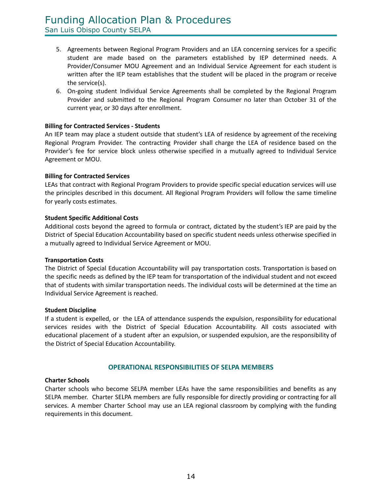- 5. Agreements between Regional Program Providers and an LEA concerning services for a specific student are made based on the parameters established by IEP determined needs. A Provider/Consumer MOU Agreement and an Individual Service Agreement for each student is written after the IEP team establishes that the student will be placed in the program or receive the service(s).
- 6. On-going student Individual Service Agreements shall be completed by the Regional Program Provider and submitted to the Regional Program Consumer no later than October 31 of the current year, or 30 days after enrollment.

#### <span id="page-14-0"></span>**Billing for Contracted Services - Students**

An IEP team may place a student outside that student's LEA of residence by agreement of the receiving Regional Program Provider. The contracting Provider shall charge the LEA of residence based on the Provider's fee for service block unless otherwise specified in a mutually agreed to Individual Service Agreement or MOU.

#### <span id="page-14-1"></span>**Billing for Contracted Services**

LEAs that contract with Regional Program Providers to provide specific special education services will use the principles described in this document. All Regional Program Providers will follow the same timeline for yearly costs estimates.

#### <span id="page-14-2"></span>**Student Specific Additional Costs**

Additional costs beyond the agreed to formula or contract, dictated by the student's IEP are paid by the District of Special Education Accountability based on specific student needs unless otherwise specified in a mutually agreed to Individual Service Agreement or MOU.

#### <span id="page-14-3"></span>**Transportation Costs**

The District of Special Education Accountability will pay transportation costs. Transportation is based on the specific needs as defined by the IEP team for transportation of the individual student and not exceed that of students with similar transportation needs. The individual costs will be determined at the time an Individual Service Agreement is reached.

#### <span id="page-14-4"></span>**Student Discipline**

If a student is expelled, or the LEA of attendance suspends the expulsion, responsibility for educational services resides with the District of Special Education Accountability. All costs associated with educational placement of a student after an expulsion, or suspended expulsion, are the responsibility of the District of Special Education Accountability.

#### **OPERATIONAL RESPONSIBILITIES OF SELPA MEMBERS**

#### <span id="page-14-6"></span><span id="page-14-5"></span>**Charter Schools**

Charter schools who become SELPA member LEAs have the same responsibilities and benefits as any SELPA member. Charter SELPA members are fully responsible for directly providing or contracting for all services. A member Charter School may use an LEA regional classroom by complying with the funding requirements in this document.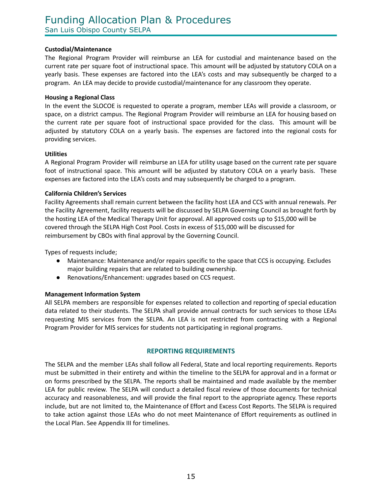#### <span id="page-15-0"></span>**Custodial/Maintenance**

The Regional Program Provider will reimburse an LEA for custodial and maintenance based on the current rate per square foot of instructional space. This amount will be adjusted by statutory COLA on a yearly basis. These expenses are factored into the LEA's costs and may subsequently be charged to a program. An LEA may decide to provide custodial/maintenance for any classroom they operate.

#### <span id="page-15-1"></span>**Housing a Regional Class**

In the event the SLOCOE is requested to operate a program, member LEAs will provide a classroom, or space, on a district campus. The Regional Program Provider will reimburse an LEA for housing based on the current rate per square foot of instructional space provided for the class. This amount will be adjusted by statutory COLA on a yearly basis. The expenses are factored into the regional costs for providing services.

### <span id="page-15-2"></span>**Utilities**

A Regional Program Provider will reimburse an LEA for utility usage based on the current rate per square foot of instructional space. This amount will be adjusted by statutory COLA on a yearly basis. These expenses are factored into the LEA's costs and may subsequently be charged to a program.

### <span id="page-15-3"></span>**California Children's Services**

Facility Agreements shall remain current between the facility host LEA and CCS with annual renewals. Per the Facility Agreement, facility requests will be discussed by SELPA Governing Council as brought forth by the hosting LEA of the Medical Therapy Unit for approval. All approved costs up to \$15,000 will be covered through the SELPA High Cost Pool. Costs in excess of \$15,000 will be discussed for reimbursement by CBOs with final approval by the Governing Council.

Types of requests include;

- Maintenance: Maintenance and/or repairs specific to the space that CCS is occupying. Excludes major building repairs that are related to building ownership.
- Renovations/Enhancement: upgrades based on CCS request.

#### <span id="page-15-4"></span>**Management Information System**

All SELPA members are responsible for expenses related to collection and reporting of special education data related to their students. The SELPA shall provide annual contracts for such services to those LEAs requesting MIS services from the SELPA. An LEA is not restricted from contracting with a Regional Program Provider for MIS services for students not participating in regional programs.

## **REPORTING REQUIREMENTS**

<span id="page-15-5"></span>The SELPA and the member LEAs shall follow all Federal, State and local reporting requirements. Reports must be submitted in their entirety and within the timeline to the SELPA for approval and in a format or on forms prescribed by the SELPA. The reports shall be maintained and made available by the member LEA for public review. The SELPA will conduct a detailed fiscal review of those documents for technical accuracy and reasonableness, and will provide the final report to the appropriate agency. These reports include, but are not limited to, the Maintenance of Effort and Excess Cost Reports. The SELPA is required to take action against those LEAs who do not meet Maintenance of Effort requirements as outlined in the Local Plan. See Appendix III for timelines.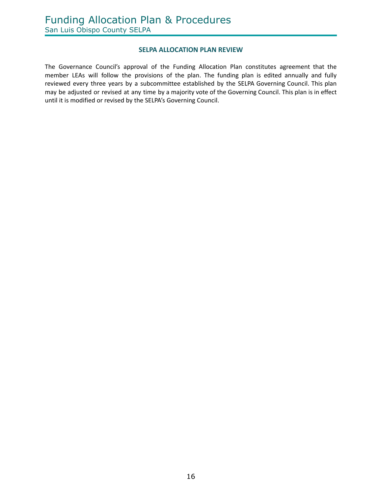### **SELPA ALLOCATION PLAN REVIEW**

<span id="page-16-0"></span>The Governance Council's approval of the Funding Allocation Plan constitutes agreement that the member LEAs will follow the provisions of the plan. The funding plan is edited annually and fully reviewed every three years by a subcommittee established by the SELPA Governing Council. This plan may be adjusted or revised at any time by a majority vote of the Governing Council. This plan is in effect until it is modified or revised by the SELPA's Governing Council.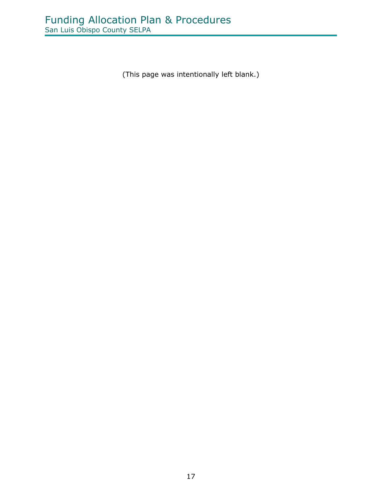(This page was intentionally left blank.)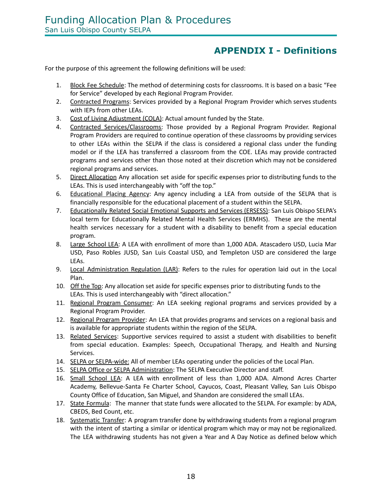# **APPENDIX I - Definitions**

<span id="page-18-0"></span>For the purpose of this agreement the following definitions will be used:

- 1. Block Fee Schedule: The method of determining costs for classrooms. It is based on a basic "Fee for Service" developed by each Regional Program Provider.
- 2. Contracted Programs: Services provided by a Regional Program Provider which serves students with IEPs from other LEAs.
- 3. Cost of Living Adjustment (COLA): Actual amount funded by the State.
- 4. Contracted Services/Classrooms: Those provided by a Regional Program Provider. Regional Program Providers are required to continue operation of these classrooms by providing services to other LEAs within the SELPA if the class is considered a regional class under the funding model or if the LEA has transferred a classroom from the COE. LEAs may provide contracted programs and services other than those noted at their discretion which may not be considered regional programs and services.
- 5. Direct Allocation Any allocation set aside for specific expenses prior to distributing funds to the LEAs. This is used interchangeably with "off the top."
- 6. Educational Placing Agency: Any agency including a LEA from outside of the SELPA that is financially responsible for the educational placement of a student within the SELPA.
- 7. Educationally Related Social Emotional Supports and Services (ERSESS): San Luis Obispo SELPA's local term for Educationally Related Mental Health Services (ERMHS). These are the mental health services necessary for a student with a disability to benefit from a special education program.
- 8. Large School LEA: A LEA with enrollment of more than 1,000 ADA. Atascadero USD, Lucia Mar USD, Paso Robles JUSD, San Luis Coastal USD, and Templeton USD are considered the large LEAs.
- 9. Local Administration Regulation (LAR): Refers to the rules for operation laid out in the Local Plan.
- 10. Off the Top: Any allocation set aside for specific expenses prior to distributing funds to the LEAs. This is used interchangeably with "direct allocation."
- 11. Regional Program Consumer: An LEA seeking regional programs and services provided by a Regional Program Provider.
- 12. Regional Program Provider: An LEA that provides programs and services on a regional basis and is available for appropriate students within the region of the SELPA.
- 13. Related Services: Supportive services required to assist a student with disabilities to benefit from special education. Examples: Speech, Occupational Therapy, and Health and Nursing Services.
- 14. SELPA or SELPA-wide: All of member LEAs operating under the policies of the Local Plan.
- 15. SELPA Office or SELPA Administration: The SELPA Executive Director and staff.
- 16. Small School LEA: A LEA with enrollment of less than 1,000 ADA. Almond Acres Charter Academy, Bellevue-Santa Fe Charter School, Cayucos, Coast, Pleasant Valley, San Luis Obispo County Office of Education, San Miguel, and Shandon are considered the small LEAs.
- 17. State Formula: The manner that state funds were allocated to the SELPA. For example: by ADA, CBEDS, Bed Count, etc.
- 18. Systematic Transfer: A program transfer done by withdrawing students from a regional program with the intent of starting a similar or identical program which may or may not be regionalized. The LEA withdrawing students has not given a Year and A Day Notice as defined below which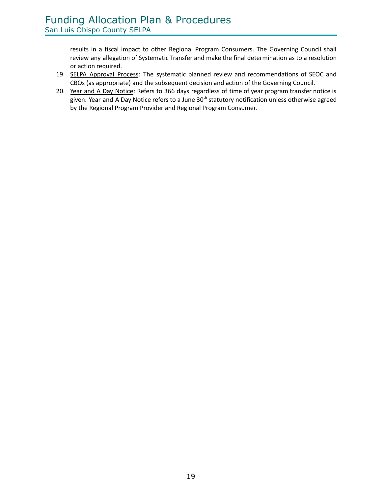results in a fiscal impact to other Regional Program Consumers. The Governing Council shall review any allegation of Systematic Transfer and make the final determination as to a resolution or action required.

- 19. SELPA Approval Process: The systematic planned review and recommendations of SEOC and CBOs (as appropriate) and the subsequent decision and action of the Governing Council.
- 20. Year and A Day Notice: Refers to 366 days regardless of time of year program transfer notice is given. Year and A Day Notice refers to a June 30<sup>th</sup> statutory notification unless otherwise agreed by the Regional Program Provider and Regional Program Consumer.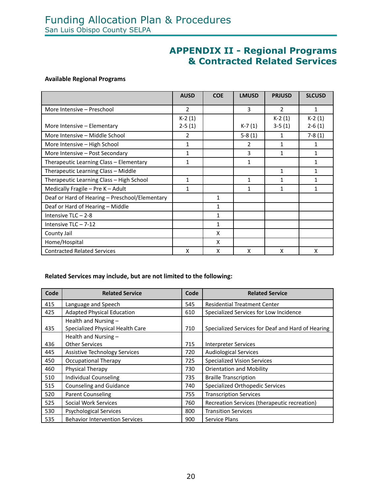# **APPENDIX II - Regional Programs & Contracted Related Services**

#### <span id="page-20-0"></span>**Available Regional Programs**

|                                                | <b>AUSD</b> | <b>COE</b> | <b>LMUSD</b> | <b>PRJUSD</b> | <b>SLCUSD</b> |
|------------------------------------------------|-------------|------------|--------------|---------------|---------------|
| More Intensive – Preschool                     | 2           |            | 3            | 2             | $\mathbf{1}$  |
|                                                | $K-2(1)$    |            |              | $K-2(1)$      | $K-2(1)$      |
| More Intensive – Elementary                    | $2-5(1)$    |            | $K-7(1)$     | $3-5(1)$      | $2-6(1)$      |
| More Intensive – Middle School                 | 2           |            | $5-8(1)$     | 1             | $7-8(1)$      |
| More Intensive - High School                   | 1           |            | 2            | 1             | 1             |
| More Intensive - Post Secondary                | 1           |            | 3            | 1             | 1             |
| Therapeutic Learning Class - Elementary        | 1           |            | 1            |               | 1             |
| Therapeutic Learning Class - Middle            |             |            |              | 1             | 1             |
| Therapeutic Learning Class - High School       | 1           |            | 1            | 1             | 1             |
| Medically Fragile - Pre K - Adult              | 1           |            | 1            | 1             | 1             |
| Deaf or Hard of Hearing - Preschool/Elementary |             | 1          |              |               |               |
| Deaf or Hard of Hearing - Middle               |             | 1          |              |               |               |
| Intensive $TLC - 2-8$                          |             | 1          |              |               |               |
| Intensive $TLC - 7-12$                         |             | 1          |              |               |               |
| County Jail                                    |             | X          |              |               |               |
| Home/Hospital                                  |             | X          |              |               |               |
| <b>Contracted Related Services</b>             | x           | x          | x            | x             | x             |

## **Related Services may include, but are not limited to the following:**

| Code | <b>Related Service</b>                | Code | <b>Related Service</b>                            |
|------|---------------------------------------|------|---------------------------------------------------|
| 415  | Language and Speech                   | 545  | <b>Residential Treatment Center</b>               |
| 425  | <b>Adapted Physical Education</b>     | 610  | Specialized Services for Low Incidence            |
|      | Health and Nursing -                  |      |                                                   |
| 435  | Specialized Physical Health Care      | 710  | Specialized Services for Deaf and Hard of Hearing |
|      | Health and Nursing -                  |      |                                                   |
| 436  | <b>Other Services</b>                 | 715  | <b>Interpreter Services</b>                       |
| 445  | <b>Assistive Technology Services</b>  | 720  | <b>Audiological Services</b>                      |
| 450  | <b>Occupational Therapy</b>           | 725  | <b>Specialized Vision Services</b>                |
| 460  | Physical Therapy                      | 730  | <b>Orientation and Mobility</b>                   |
| 510  | Individual Counseling                 | 735  | <b>Braille Transcription</b>                      |
| 515  | <b>Counseling and Guidance</b>        | 740  | Specialized Orthopedic Services                   |
| 520  | <b>Parent Counseling</b>              | 755  | <b>Transcription Services</b>                     |
| 525  | Social Work Services                  | 760  | Recreation Services (therapeutic recreation)      |
| 530  | <b>Psychological Services</b>         | 800  | <b>Transition Services</b>                        |
| 535  | <b>Behavior Intervention Services</b> | 900  | Service Plans                                     |